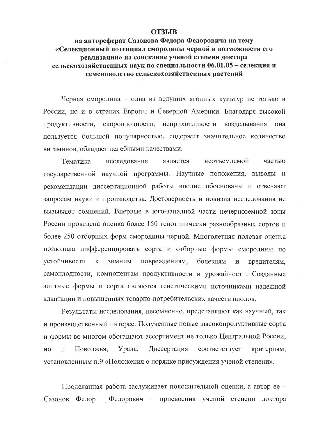## **ОТЗЫВ**

на автореферат Сазонова Федора Федоровича на тему «Селекционный потенциал смородины черной и возможности его реализации» на соискание ученой степени доктора сельскохозяйственных наук по специальности 06.01.05 - селекция и семеноводство сельскохозяйственных растений

Черная смородина - одна из ведущих ягодных культур не только в России, но и в странах Европы и Северной Америки. Благодаря высокой продуктивности, скороплодности, неприхотливости возделывания она пользуется большой популярностью, содержит значительное количество витаминов, обладает целебными качествами.

Тематика исследования является неотъемлемой частью государственной научной программы. Научные положения, выводы и рекомендации диссертационной работы вполне обоснованы и отвечают запросам науки и производства. Достоверность и новизна исследования не вызывают сомнений. Впервые в юго-западной части нечерноземной зоны России проведена оценка более 150 генотипически разнообразных сортов и более 250 отборных форм смородины черной. Многолетняя полевая оценка позволила дифференцировать сорта и отборные формы смородины по устойчивости повреждениям, болезням  $\overline{\mathbf{K}}$ ЗИМНИМ  $\mathbf{M}$ вредителям, самоплодности, компонентам продуктивности и урожайности. Созданные элитные формы и сорта являются генетическими источниками надежной адаптации и повышенных товарно-потребительских качеств плодов.

Результаты исследования, несомненно, представляют как научный, так и производственный интерес. Полученные новые высокопродуктивные сорта и формы во многом обогащают ассортимент не только Центральной России, HO Поволжья, Урала. Диссертация соответствует критериям, Й установленным п.9 «Положения о порядке присуждения ученой степени».

Проделанная работа заслуживает положительной оценки, а автор ее -Федорович - присвоения ученой степени доктора Сазонов Федор